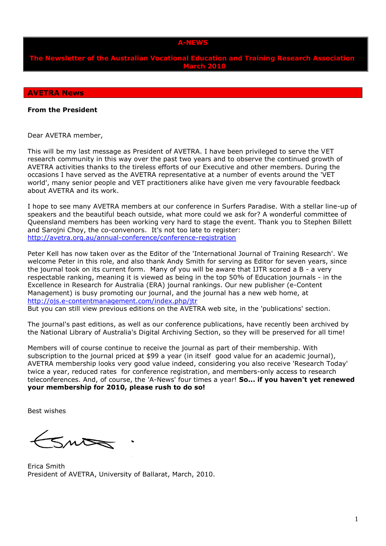## **A-NEWS**

**The Newsletter of the Australian Vocational Education and Training Research Association March 2010**

#### **AVETRA News**

### **From the President**

Dear AVETRA member,

This will be my last message as President of AVETRA. I have been privileged to serve the VET research community in this way over the past two years and to observe the continued growth of AVETRA activities thanks to the tireless efforts of our Executive and other members. During the occasions I have served as the AVETRA representative at a number of events around the 'VET world', many senior people and VET practitioners alike have given me very favourable feedback about AVETRA and its work.

I hope to see many AVETRA members at our conference in Surfers Paradise. With a stellar line-up of speakers and the beautiful beach outside, what more could we ask for? A wonderful committee of Queensland members has been working very hard to stage the event. Thank you to Stephen Billett and Sarojni Choy, the co-convenors. It's not too late to register: <http://avetra.org.au/annual-conference/conference-registration>

Peter Kell has now taken over as the Editor of the 'International Journal of Training Research'. We welcome Peter in this role, and also thank Andy Smith for serving as Editor for seven years, since the iournal took on its current form. Many of you will be aware that IJTR scored a B - a very respectable ranking, meaning it is viewed as being in the top 50% of Education journals - in the Excellence in Research for Australia (ERA) journal rankings. Our new publisher (e-Content Management) is busy promoting our journal, and the journal has a new web home, at <http://ojs.e-contentmanagement.com/index.php/jtr>

But you can still view previous editions on the AVETRA web site, in the 'publications' section.

The journal's past editions, as well as our conference publications, have recently been archived by the National Library of Australia's Digital Archiving Section, so they will be preserved for all time!

Members will of course continue to receive the journal as part of their membership. With subscription to the journal priced at \$99 a year (in itself good value for an academic journal), AVETRA membership looks very good value indeed, considering you also receive 'Research Today' twice a year, reduced rates for conference registration, and members-only access to research teleconferences. And, of course, the 'A-News' four times a year! **So... if you haven't yet renewed your membership for 2010, please rush to do so!**

Best wishes

Sno

Erica Smith President of AVETRA, University of Ballarat, March, 2010.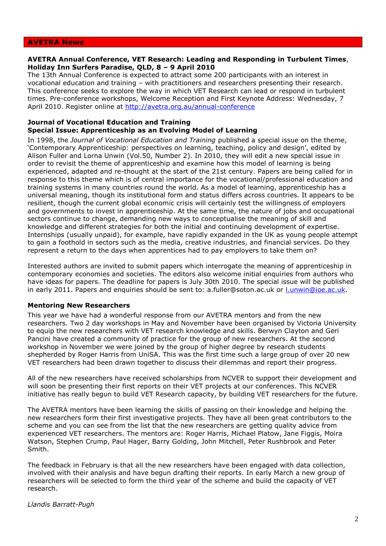#### **AVETRA News**

## **AVETRA Annual Conference, VET Research: Leading and Responding in Turbulent Times**, **Holiday Inn Surfers Paradise, QLD, 8 – 9 April 2010**

The 13th Annual Conference is expected to attract some 200 participants with an interest in vocational education and training – with practitioners and researchers presenting their research. This conference seeks to explore the way in which VET Research can lead or respond in turbulent times. Pre-conference workshops, Welcome Reception and First Keynote Address: Wednesday, 7 April 2010. Register online at<http://avetra.org.au/annual-conference>

# **Journal of Vocational Education and Training Special Issue: Apprenticeship as an Evolving Model of Learning**

In 1998, the *Journal of Vocational Education and Training* published a special issue on the theme, 'Contemporary Apprenticeship: perspectives on learning, teaching, policy and design', edited by Alison Fuller and Lorna Unwin (Vol.50, Number 2). In 2010, they will edit a new special issue in order to revisit the theme of apprenticeship and examine how this model of learning is being experienced, adapted and re-thought at the start of the 21st century. Papers are being called for in response to this theme which is of central importance for the vocational/professional education and training systems in many countries round the world. As a model of learning, apprenticeship has a universal meaning, though its institutional form and status differs across countries. It appears to be resilient, though the current global economic crisis will certainly test the willingness of employers and governments to invest in apprenticeship. At the same time, the nature of jobs and occupational sectors continue to change, demanding new ways to conceptualise the meaning of skill and knowledge and different strategies for both the initial and continuing development of expertise. Internships (usually unpaid), for example, have rapidly expanded in the UK as young people attempt to gain a foothold in sectors such as the media, creative industries, and financial services. Do they represent a return to the days when apprentices had to pay employers to take them on?

Interested authors are invited to submit papers which interrogate the meaning of apprenticeship in contemporary economies and societies. The editors also welcome initial enquiries from authors who have ideas for papers. The deadline for papers is July 30th 2010. The special issue will be published in early 2011. Papers and enquiries should be sent to: a.fuller@soton.ac.uk or [l.unwin@ioe.ac.uk.](mailto:l.unwin@ioe.ac.uk)

## **Mentoring New Researchers**

This year we have had a wonderful response from our AVETRA mentors and from the new researchers. Two 2 day workshops in May and November have been organised by Victoria University to equip the new researchers with VET research knowledge and skills. Berwyn Clayton and Geri Pancini have created a community of practice for the group of new researchers. At the second workshop in November we were joined by the group of higher degree by research students shepherded by Roger Harris from UniSA. This was the first time such a large group of over 20 new VET researchers had been drawn together to discuss their dilemmas and report their progress.

All of the new researchers have received scholarships from NCVER to support their development and will soon be presenting their first reports on their VET projects at our conferences. This NCVER initiative has really begun to build VET Research capacity, by building VET researchers for the future.

The AVETRA mentors have been learning the skills of passing on their knowledge and helping the new researchers form their first investigative projects. They have all been great contributors to the scheme and you can see from the list that the new researchers are getting quality advice from experienced VET researchers. The mentors are: Roger Harris, Michael Platow, Jane Figgis, Moira Watson, Stephen Crump, Paul Hager, Barry Golding, John Mitchell, Peter Rushbrook and Peter Smith.

The feedback in February is that all the new researchers have been engaged with data collection, involved with their analysis and have begun drafting their reports. In early March a new group of researchers will be selected to form the third year of the scheme and build the capacity of VET research.

*Llandis Barratt-Pugh*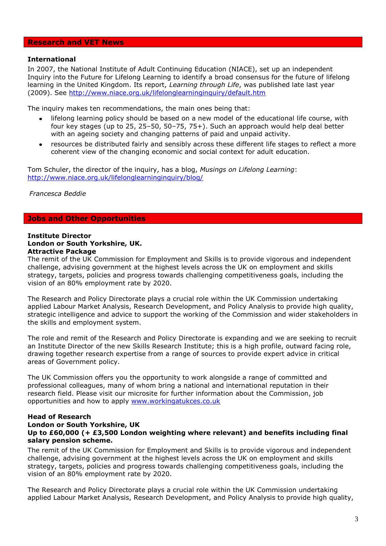## **Research and VET News**

### **International**

In 2007, the National Institute of Adult Continuing Education (NIACE), set up an independent Inquiry into the Future for Lifelong Learning to identify a broad consensus for the future of lifelong learning in the United Kingdom. Its report, *Learning through Life*, was published late last year (2009). See<http://www.niace.org.uk/lifelonglearninginquiry/default.htm>

The inquiry makes ten recommendations, the main ones being that:

- lifelong learning policy should be based on a new model of the educational life course, with  $\bullet$ four key stages (up to 25, 25–50, 50–75, 75+). Such an approach would help deal better with an ageing society and changing patterns of paid and unpaid activity.
- resources be distributed fairly and sensibly across these different life stages to reflect a more  $\bullet$ coherent view of the changing economic and social context for adult education.

Tom Schuler, the director of the inquiry, has a blog, *Musings on Lifelong Learning*: <http://www.niace.org.uk/lifelonglearninginquiry/blog/>

*Francesca Beddie*

# **Jobs and Other Opportunities**

#### **Institute Director London or South Yorkshire, UK. Attractive Package**

The remit of the UK Commission for Employment and Skills is to provide vigorous and independent challenge, advising government at the highest levels across the UK on employment and skills strategy, targets, policies and progress towards challenging competitiveness goals, including the vision of an 80% employment rate by 2020.

The Research and Policy Directorate plays a crucial role within the UK Commission undertaking applied Labour Market Analysis, Research Development, and Policy Analysis to provide high quality, strategic intelligence and advice to support the working of the Commission and wider stakeholders in the skills and employment system.

The role and remit of the Research and Policy Directorate is expanding and we are seeking to recruit an Institute Director of the new Skills Research Institute; this is a high profile, outward facing role, drawing together research expertise from a range of sources to provide expert advice in critical areas of Government policy.

The UK Commission offers you the opportunity to work alongside a range of committed and professional colleagues, many of whom bring a national and international reputation in their research field. Please visit our microsite for further information about the Commission, job opportunities and how to apply [www.workingatukces.co.uk](http://www.workingatukces.co.uk/)

### **Head of Research London or South Yorkshire, UK Up to £60,000 (+ £3,500 London weighting where relevant) and benefits including final salary pension scheme.**

The remit of the UK Commission for Employment and Skills is to provide vigorous and independent challenge, advising government at the highest levels across the UK on employment and skills strategy, targets, policies and progress towards challenging competitiveness goals, including the vision of an 80% employment rate by 2020.

The Research and Policy Directorate plays a crucial role within the UK Commission undertaking applied Labour Market Analysis, Research Development, and Policy Analysis to provide high quality,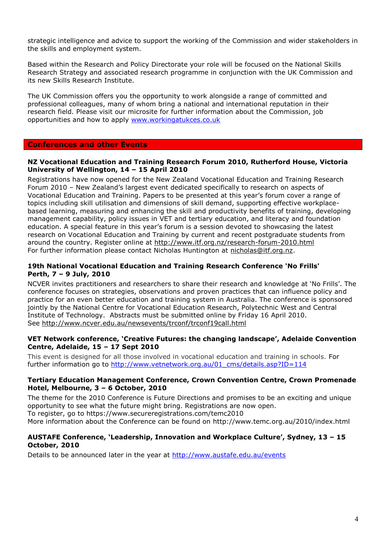strategic intelligence and advice to support the working of the Commission and wider stakeholders in the skills and employment system.

Based within the Research and Policy Directorate your role will be focused on the National Skills Research Strategy and associated research programme in conjunction with the UK Commission and its new Skills Research Institute.

The UK Commission offers you the opportunity to work alongside a range of committed and professional colleagues, many of whom bring a national and international reputation in their research field. Please visit our microsite for further information about the Commission, job opportunities and how to apply [www.workingatukces.co.uk](http://www.workingatukces.co.uk/)

# **Conferences and other Events**

## **NZ Vocational Education and Training Research Forum 2010, Rutherford House, Victoria University of Wellington, 14 – 15 April 2010**

Registrations have now opened for the New Zealand Vocational Education and Training Research Forum 2010 – New Zealand's largest event dedicated specifically to research on aspects of Vocational Education and Training. Papers to be presented at this year's forum cover a range of topics including skill utilisation and dimensions of skill demand, supporting effective workplacebased learning, measuring and enhancing the skill and productivity benefits of training, developing management capability, policy issues in VET and tertiary education, and literacy and foundation education. A special feature in this year's forum is a session devoted to showcasing the latest research on Vocational Education and Training by current and recent postgraduate students from around the country. Register online at<http://www.itf.org.nz/research-forum-2010.html> For further information please contact Nicholas Huntington at [nicholas@itf.org.nz.](mailto:nicholas@itf.org.nz)

# **19th National Vocational Education and Training Research Conference 'No Frills' Perth, 7 – 9 July, 2010**

NCVER invites practitioners and researchers to share their research and knowledge at 'No Frills'. The conference focuses on strategies, observations and proven practices that can influence policy and practice for an even better education and training system in Australia. The conference is sponsored jointly by the National Centre for Vocational Education Research, Polytechnic West and Central Institute of Technology. Abstracts must be submitted online by Friday 16 April 2010. See <http://www.ncver.edu.au/newsevents/trconf/trconf19call.html>

# **VET Network conference, 'Creative Futures: the changing landscape', Adelaide Convention Centre, Adelaide, 15 – 17 Sept 2010**

This event is designed for all those involved in vocational education and training in schools. For further information go to [http://www.vetnetwork.org.au/01\\_cms/details.asp?ID=114](http://www.vetnetwork.org.au/01_cms/details.asp?ID=114)

# **Tertiary Education Management Conference, Crown Convention Centre, Crown Promenade Hotel, Melbourne, 3 – 6 October, 2010**

The theme for the 2010 Conference is Future Directions and promises to be an exciting and unique opportunity to see what the future might bring. Registrations are now open. To register, go to <https://www.secureregistrations.com/temc2010> More information about the Conference can be found on<http://www.temc.org.au/2010/index.html>

# **AUSTAFE Conference, 'Leadership, Innovation and Workplace Culture', Sydney, 13 – 15 October, 2010**

Details to be announced later in the year at <http://www.austafe.edu.au/events>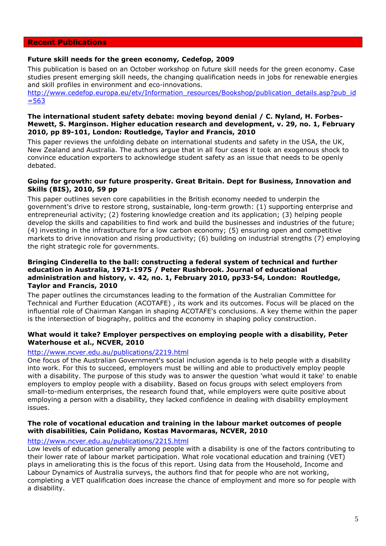### **Recent Publications**

## **Future skill needs for the green economy***,* **Cedefop, 2009**

This publication is based on an October workshop on future skill needs for the green economy. Case studies present emerging skill needs, the changing qualification needs in jobs for renewable energies and skill profiles in environment and eco-innovations.

[http://www.cedefop.europa.eu/etv/Information\\_resources/Bookshop/publication\\_details.asp?pub\\_id](http://www.cedefop.europa.eu/etv/Information_resources/Bookshop/publication_details.asp?pub_id=563)  $= 563$ 

## **The international student safety debate: moving beyond denial / C. Nyland, H. Forbes-Mewett, S. Marginson. Higher education research and development, v. 29, no. 1, February 2010, pp 89-101, London: Routledge, Taylor and Francis, 2010**

This paper reviews the unfolding debate on international students and safety in the USA, the UK, New Zealand and Australia. The authors argue that in all four cases it took an exogenous shock to convince education exporters to acknowledge student safety as an issue that needs to be openly debated.

### **Going for growth: our future prosperity. Great Britain. Dept for Business, Innovation and Skills (BIS), 2010, 59 pp**

This paper outlines seven core capabilities in the British economy needed to underpin the government's drive to restore strong, sustainable, long-term growth: (1) supporting enterprise and entrepreneurial activity; (2) fostering knowledge creation and its application; (3) helping people develop the skills and capabilities to find work and build the businesses and industries of the future; (4) investing in the infrastructure for a low carbon economy; (5) ensuring open and competitive markets to drive innovation and rising productivity; (6) building on industrial strengths (7) employing the right strategic role for governments.

## **Bringing Cinderella to the ball: constructing a federal system of technical and further education in Australia, 1971-1975 / Peter Rushbrook. Journal of educational administration and history, v. 42, no. 1, February 2010, pp33-54, London: Routledge, Taylor and Francis, 2010**

The paper outlines the circumstances leading to the formation of the Australian Committee for Technical and Further Education (ACOTAFE) , its work and its outcomes. Focus will be placed on the influential role of Chairman Kangan in shaping ACOTAFE's conclusions. A key theme within the paper is the intersection of biography, politics and the economy in shaping policy construction.

# **What would it take? Employer perspectives on employing people with a disability, Peter Waterhouse et al., NCVER, 2010**

## <http://www.ncver.edu.au/publications/2219.html>

One focus of the Australian Government's social inclusion agenda is to help people with a disability into work. For this to succeed, employers must be willing and able to productively employ people with a disability. The purpose of this study was to answer the question 'what would it take' to enable employers to employ people with a disability. Based on focus groups with select employers from small-to-medium enterprises, the research found that, while employers were quite positive about employing a person with a disability, they lacked confidence in dealing with disability employment issues.

# **The role of vocational education and training in the labour market outcomes of people with disabilities, Cain Polidano, Kostas Mavormaras, NCVER, 2010**

## <http://www.ncver.edu.au/publications/2215.html>

Low levels of education generally among people with a disability is one of the factors contributing to their lower rate of labour market participation. What role vocational education and training (VET) plays in ameliorating this is the focus of this report. Using data from the Household, Income and Labour Dynamics of Australia surveys, the authors find that for people who are not working, completing a VET qualification does increase the chance of employment and more so for people with a disability.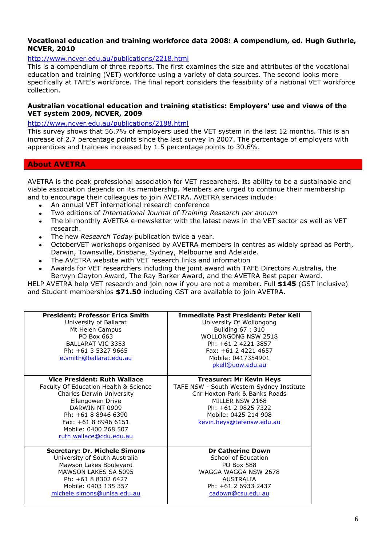# **Vocational education and training workforce data 2008: A compendium, ed. Hugh Guthrie, NCVER, 2010**

# <http://www.ncver.edu.au/publications/2218.html>

This is a compendium of three reports. The first examines the size and attributes of the vocational education and training (VET) workforce using a variety of data sources. The second looks more specifically at TAFE's workforce. The final report considers the feasibility of a national VET workforce collection.

### **Australian vocational education and training statistics: Employers' use and views of the VET system 2009, NCVER, 2009**

## <http://www.ncver.edu.au/publications/2188.html>

This survey shows that 56.7% of employers used the VET system in the last 12 months. This is an increase of 2.7 percentage points since the last survey in 2007. The percentage of employers with apprentices and trainees increased by 1.5 percentage points to 30.6%.

# **About AVETRA**

AVETRA is the peak professional association for VET researchers. Its ability to be a sustainable and viable association depends on its membership. Members are urged to continue their membership and to encourage their colleagues to join AVETRA. AVETRA services include:

- An annual VET international research conference
- Two editions of *International Journal of Training Research per annum*
- The bi-monthly AVETRA e-newsletter with the latest news in the VET sector as well as VET  $\bullet$ research.
- The new *Research Today* publication twice a year.
- OctoberVET workshops organised by AVETRA members in centres as widely spread as Perth, Darwin, Townsville, Brisbane, Sydney, Melbourne and Adelaide.
- The AVETRA website with VET research links and information
- Awards for VET researchers including the joint award with TAFE Directors Australia, the Berwyn Clayton Award, The Ray Barker Award, and the AVETRA Best paper Award.

HELP AVETRA help VET research and join now if you are not a member. Full **\$145** (GST inclusive) and Student memberships **\$71.50** including GST are available to join AVETRA.

| <b>President: Professor Erica Smith</b><br>University of Ballarat<br>Mt Helen Campus<br>PO Box 663<br><b>BALLARAT VIC 3353</b><br>Ph: +61 3 5327 9665<br>e.smith@ballarat.edu.au                                                                  | <b>Immediate Past President: Peter Kell</b><br>University Of Wollongong<br>Building 67: 310<br>WOLLONGONG NSW 2518<br>Ph: +61 2 4221 3857<br>Fax: +61 2 4221 4657<br>Mobile: 0417354901<br>pkell@uow.edu.au  |
|---------------------------------------------------------------------------------------------------------------------------------------------------------------------------------------------------------------------------------------------------|--------------------------------------------------------------------------------------------------------------------------------------------------------------------------------------------------------------|
| <b>Vice President: Ruth Wallace</b><br>Faculty Of Education Health & Science<br>Charles Darwin University<br>Ellengowen Drive<br>DARWIN NT 0909<br>Ph: +61 8 8946 6390<br>Fax: +61 8 8946 6151<br>Mobile: 0400 268 507<br>ruth.wallace@cdu.edu.au | <b>Treasurer: Mr Kevin Heys</b><br>TAFE NSW - South Western Sydney Institute<br>Cnr Hoxton Park & Banks Roads<br>MILLER NSW 2168<br>Ph: +61 2 9825 7322<br>Mobile: 0425 214 908<br>kevin.heys@tafensw.edu.au |
| <b>Secretary: Dr. Michele Simons</b><br>University of South Australia<br>Mawson Lakes Boulevard<br><b>MAWSON LAKES SA 5095</b><br>Ph: +61 8 8302 6427<br>Mobile: 0403 135 357<br>michele.simons@unisa.edu.au                                      | <b>Dr Catherine Down</b><br>School of Education<br><b>PO Box 588</b><br>WAGGA WAGGA NSW 2678<br>AUSTRALIA<br>Ph: +61 2 6933 2437<br>cadown@csu.edu.au                                                        |